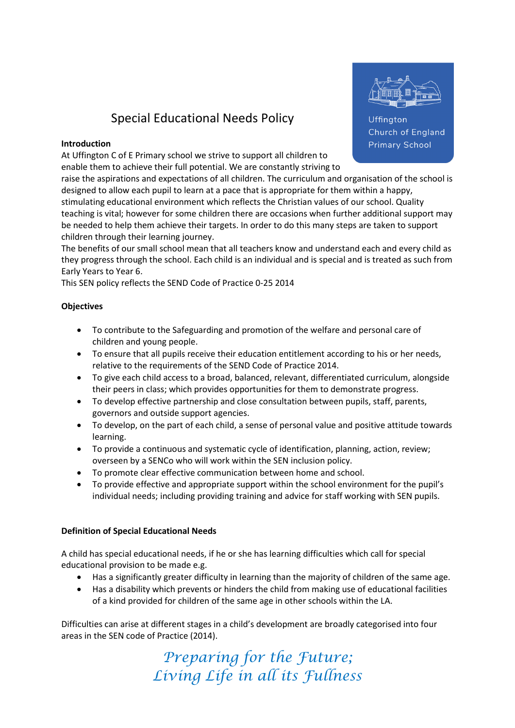# Special Educational Needs Policy

#### Introduction

At Uffington C of E Primary school we strive to support all children to enable them to achieve their full potential. We are constantly striving to



Uffington **Church of England Primary School** 

raise the aspirations and expectations of all children. The curriculum and organisation of the school is designed to allow each pupil to learn at a pace that is appropriate for them within a happy, stimulating educational environment which reflects the Christian values of our school. Quality teaching is vital; however for some children there are occasions when further additional support may be needed to help them achieve their targets. In order to do this many steps are taken to support children through their learning journey.

The benefits of our small school mean that all teachers know and understand each and every child as they progress through the school. Each child is an individual and is special and is treated as such from Early Years to Year 6.

This SEN policy reflects the SEND Code of Practice 0-25 2014

## **Objectives**

- To contribute to the Safeguarding and promotion of the welfare and personal care of children and young people.
- To ensure that all pupils receive their education entitlement according to his or her needs, relative to the requirements of the SEND Code of Practice 2014.
- To give each child access to a broad, balanced, relevant, differentiated curriculum, alongside their peers in class; which provides opportunities for them to demonstrate progress.
- To develop effective partnership and close consultation between pupils, staff, parents, governors and outside support agencies.
- To develop, on the part of each child, a sense of personal value and positive attitude towards learning.
- To provide a continuous and systematic cycle of identification, planning, action, review; overseen by a SENCo who will work within the SEN inclusion policy.
- To promote clear effective communication between home and school.
- To provide effective and appropriate support within the school environment for the pupil's individual needs; including providing training and advice for staff working with SEN pupils.

## Definition of Special Educational Needs

A child has special educational needs, if he or she has learning difficulties which call for special educational provision to be made e.g.

- Has a significantly greater difficulty in learning than the majority of children of the same age.
- Has a disability which prevents or hinders the child from making use of educational facilities of a kind provided for children of the same age in other schools within the LA.

Difficulties can arise at different stages in a child's development are broadly categorised into four areas in the SEN code of Practice (2014).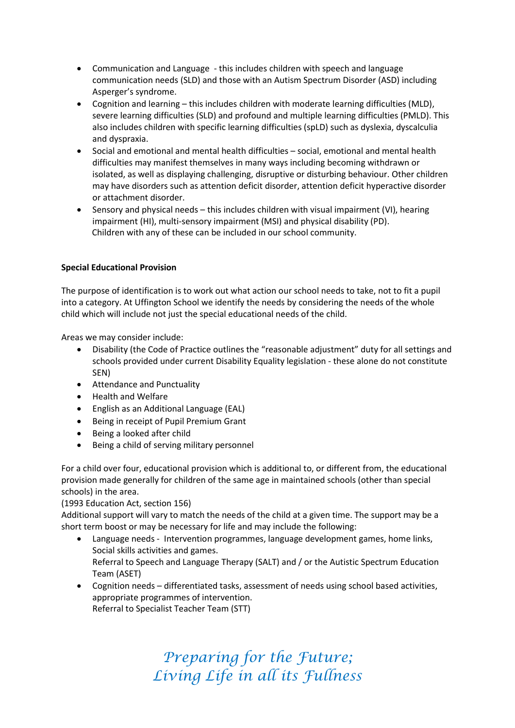- Communication and Language this includes children with speech and language communication needs (SLD) and those with an Autism Spectrum Disorder (ASD) including Asperger's syndrome.
- Cognition and learning this includes children with moderate learning difficulties (MLD), severe learning difficulties (SLD) and profound and multiple learning difficulties (PMLD). This also includes children with specific learning difficulties (spLD) such as dyslexia, dyscalculia and dyspraxia.
- Social and emotional and mental health difficulties social, emotional and mental health difficulties may manifest themselves in many ways including becoming withdrawn or isolated, as well as displaying challenging, disruptive or disturbing behaviour. Other children may have disorders such as attention deficit disorder, attention deficit hyperactive disorder or attachment disorder.
- Sensory and physical needs this includes children with visual impairment (VI), hearing impairment (HI), multi-sensory impairment (MSI) and physical disability (PD). Children with any of these can be included in our school community.

## Special Educational Provision

The purpose of identification is to work out what action our school needs to take, not to fit a pupil into a category. At Uffington School we identify the needs by considering the needs of the whole child which will include not just the special educational needs of the child.

Areas we may consider include:

- Disability (the Code of Practice outlines the "reasonable adjustment" duty for all settings and schools provided under current Disability Equality legislation - these alone do not constitute SEN)
- Attendance and Punctuality
- Health and Welfare
- English as an Additional Language (EAL)
- Being in receipt of Pupil Premium Grant
- Being a looked after child
- Being a child of serving military personnel

For a child over four, educational provision which is additional to, or different from, the educational provision made generally for children of the same age in maintained schools (other than special schools) in the area.

## (1993 Education Act, section 156)

Additional support will vary to match the needs of the child at a given time. The support may be a short term boost or may be necessary for life and may include the following:

- Language needs Intervention programmes, language development games, home links, Social skills activities and games. Referral to Speech and Language Therapy (SALT) and / or the Autistic Spectrum Education Team (ASET)
- Cognition needs differentiated tasks, assessment of needs using school based activities, appropriate programmes of intervention. Referral to Specialist Teacher Team (STT)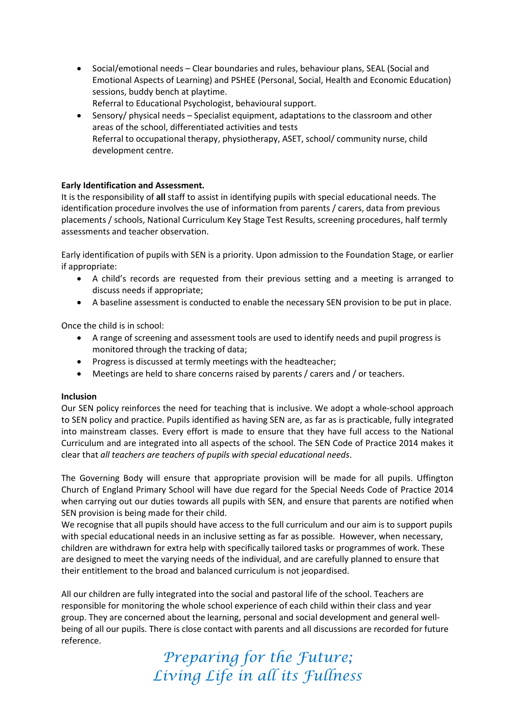- Social/emotional needs Clear boundaries and rules, behaviour plans, SEAL (Social and Emotional Aspects of Learning) and PSHEE (Personal, Social, Health and Economic Education) sessions, buddy bench at playtime. Referral to Educational Psychologist, behavioural support.
- Sensory/ physical needs Specialist equipment, adaptations to the classroom and other areas of the school, differentiated activities and tests Referral to occupational therapy, physiotherapy, ASET, school/ community nurse, child development centre.

#### Early Identification and Assessment.

It is the responsibility of all staff to assist in identifying pupils with special educational needs. The identification procedure involves the use of information from parents / carers, data from previous placements / schools, National Curriculum Key Stage Test Results, screening procedures, half termly assessments and teacher observation.

Early identification of pupils with SEN is a priority. Upon admission to the Foundation Stage, or earlier if appropriate:

- A child's records are requested from their previous setting and a meeting is arranged to discuss needs if appropriate;
- A baseline assessment is conducted to enable the necessary SEN provision to be put in place.

Once the child is in school:

- A range of screening and assessment tools are used to identify needs and pupil progress is monitored through the tracking of data;
- Progress is discussed at termly meetings with the headteacher;
- Meetings are held to share concerns raised by parents / carers and / or teachers.

#### Inclusion

Our SEN policy reinforces the need for teaching that is inclusive. We adopt a whole-school approach to SEN policy and practice. Pupils identified as having SEN are, as far as is practicable, fully integrated into mainstream classes. Every effort is made to ensure that they have full access to the National Curriculum and are integrated into all aspects of the school. The SEN Code of Practice 2014 makes it clear that all teachers are teachers of pupils with special educational needs.

The Governing Body will ensure that appropriate provision will be made for all pupils. Uffington Church of England Primary School will have due regard for the Special Needs Code of Practice 2014 when carrying out our duties towards all pupils with SEN, and ensure that parents are notified when SEN provision is being made for their child.

We recognise that all pupils should have access to the full curriculum and our aim is to support pupils with special educational needs in an inclusive setting as far as possible. However, when necessary, children are withdrawn for extra help with specifically tailored tasks or programmes of work. These are designed to meet the varying needs of the individual, and are carefully planned to ensure that their entitlement to the broad and balanced curriculum is not jeopardised.

All our children are fully integrated into the social and pastoral life of the school. Teachers are responsible for monitoring the whole school experience of each child within their class and year group. They are concerned about the learning, personal and social development and general wellbeing of all our pupils. There is close contact with parents and all discussions are recorded for future reference.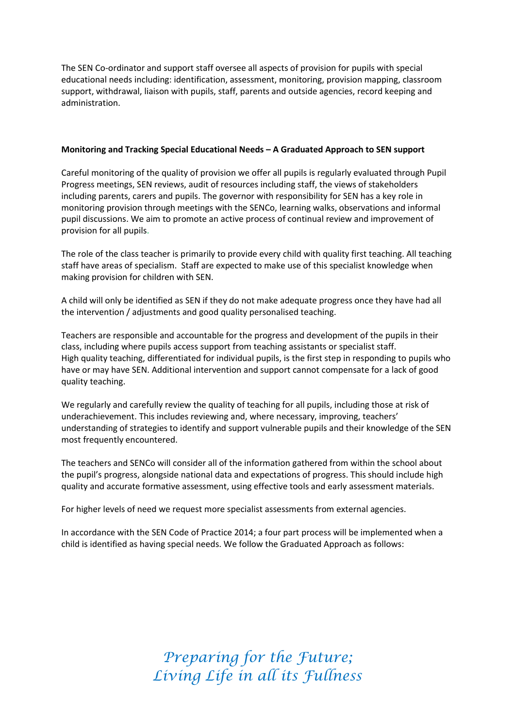The SEN Co-ordinator and support staff oversee all aspects of provision for pupils with special educational needs including: identification, assessment, monitoring, provision mapping, classroom support, withdrawal, liaison with pupils, staff, parents and outside agencies, record keeping and administration.

#### Monitoring and Tracking Special Educational Needs – A Graduated Approach to SEN support

Careful monitoring of the quality of provision we offer all pupils is regularly evaluated through Pupil Progress meetings, SEN reviews, audit of resources including staff, the views of stakeholders including parents, carers and pupils. The governor with responsibility for SEN has a key role in monitoring provision through meetings with the SENCo, learning walks, observations and informal pupil discussions. We aim to promote an active process of continual review and improvement of provision for all pupils.

The role of the class teacher is primarily to provide every child with quality first teaching. All teaching staff have areas of specialism. Staff are expected to make use of this specialist knowledge when making provision for children with SEN.

A child will only be identified as SEN if they do not make adequate progress once they have had all the intervention / adjustments and good quality personalised teaching.

Teachers are responsible and accountable for the progress and development of the pupils in their class, including where pupils access support from teaching assistants or specialist staff. High quality teaching, differentiated for individual pupils, is the first step in responding to pupils who have or may have SEN. Additional intervention and support cannot compensate for a lack of good quality teaching.

We regularly and carefully review the quality of teaching for all pupils, including those at risk of underachievement. This includes reviewing and, where necessary, improving, teachers' understanding of strategies to identify and support vulnerable pupils and their knowledge of the SEN most frequently encountered.

The teachers and SENCo will consider all of the information gathered from within the school about the pupil's progress, alongside national data and expectations of progress. This should include high quality and accurate formative assessment, using effective tools and early assessment materials.

For higher levels of need we request more specialist assessments from external agencies.

In accordance with the SEN Code of Practice 2014; a four part process will be implemented when a child is identified as having special needs. We follow the Graduated Approach as follows: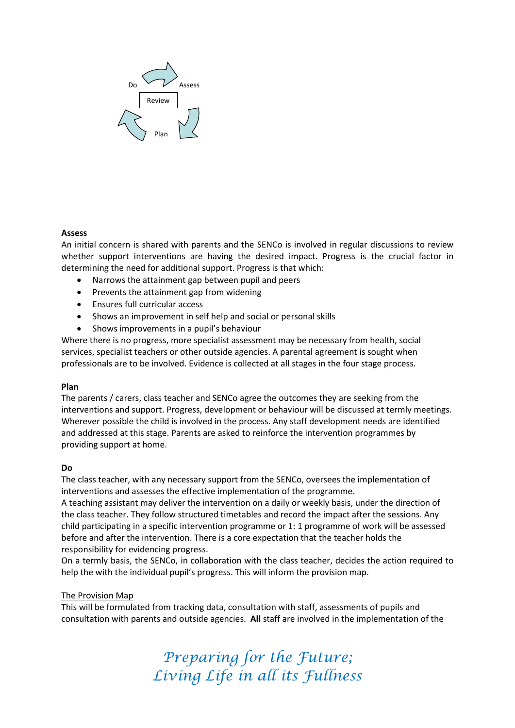

#### Assess

An initial concern is shared with parents and the SENCo is involved in regular discussions to review whether support interventions are having the desired impact. Progress is the crucial factor in determining the need for additional support. Progress is that which:

- Narrows the attainment gap between pupil and peers
- Prevents the attainment gap from widening
- Ensures full curricular access
- Shows an improvement in self help and social or personal skills
- Shows improvements in a pupil's behaviour

Where there is no progress, more specialist assessment may be necessary from health, social services, specialist teachers or other outside agencies. A parental agreement is sought when professionals are to be involved. Evidence is collected at all stages in the four stage process.

#### Plan

The parents / carers, class teacher and SENCo agree the outcomes they are seeking from the interventions and support. Progress, development or behaviour will be discussed at termly meetings. Wherever possible the child is involved in the process. Any staff development needs are identified and addressed at this stage. Parents are asked to reinforce the intervention programmes by providing support at home.

#### Do

The class teacher, with any necessary support from the SENCo, oversees the implementation of interventions and assesses the effective implementation of the programme.

A teaching assistant may deliver the intervention on a daily or weekly basis, under the direction of the class teacher. They follow structured timetables and record the impact after the sessions. Any child participating in a specific intervention programme or 1: 1 programme of work will be assessed before and after the intervention. There is a core expectation that the teacher holds the responsibility for evidencing progress.

On a termly basis, the SENCo, in collaboration with the class teacher, decides the action required to help the with the individual pupil's progress. This will inform the provision map.

#### The Provision Map

This will be formulated from tracking data, consultation with staff, assessments of pupils and consultation with parents and outside agencies. All staff are involved in the implementation of the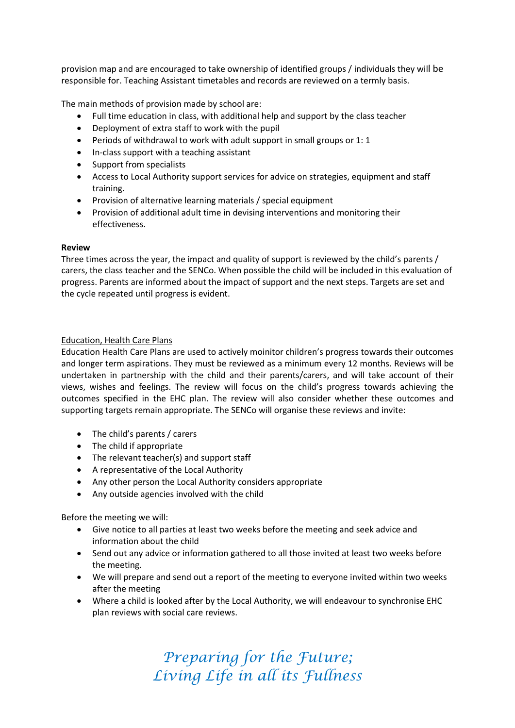provision map and are encouraged to take ownership of identified groups / individuals they will be responsible for. Teaching Assistant timetables and records are reviewed on a termly basis.

The main methods of provision made by school are:

- Full time education in class, with additional help and support by the class teacher
- Deployment of extra staff to work with the pupil
- Periods of withdrawal to work with adult support in small groups or 1: 1
- In-class support with a teaching assistant
- Support from specialists
- Access to Local Authority support services for advice on strategies, equipment and staff training.
- Provision of alternative learning materials / special equipment
- Provision of additional adult time in devising interventions and monitoring their effectiveness.

#### Review

Three times across the year, the impact and quality of support is reviewed by the child's parents / carers, the class teacher and the SENCo. When possible the child will be included in this evaluation of progress. Parents are informed about the impact of support and the next steps. Targets are set and the cycle repeated until progress is evident.

#### Education, Health Care Plans

Education Health Care Plans are used to actively moinitor children's progress towards their outcomes and longer term aspirations. They must be reviewed as a minimum every 12 months. Reviews will be undertaken in partnership with the child and their parents/carers, and will take account of their views, wishes and feelings. The review will focus on the child's progress towards achieving the outcomes specified in the EHC plan. The review will also consider whether these outcomes and supporting targets remain appropriate. The SENCo will organise these reviews and invite:

- The child's parents / carers
- The child if appropriate
- The relevant teacher(s) and support staff
- A representative of the Local Authority
- Any other person the Local Authority considers appropriate
- Any outside agencies involved with the child

Before the meeting we will:

- Give notice to all parties at least two weeks before the meeting and seek advice and information about the child
- Send out any advice or information gathered to all those invited at least two weeks before the meeting.
- We will prepare and send out a report of the meeting to everyone invited within two weeks after the meeting
- Where a child is looked after by the Local Authority, we will endeavour to synchronise EHC plan reviews with social care reviews.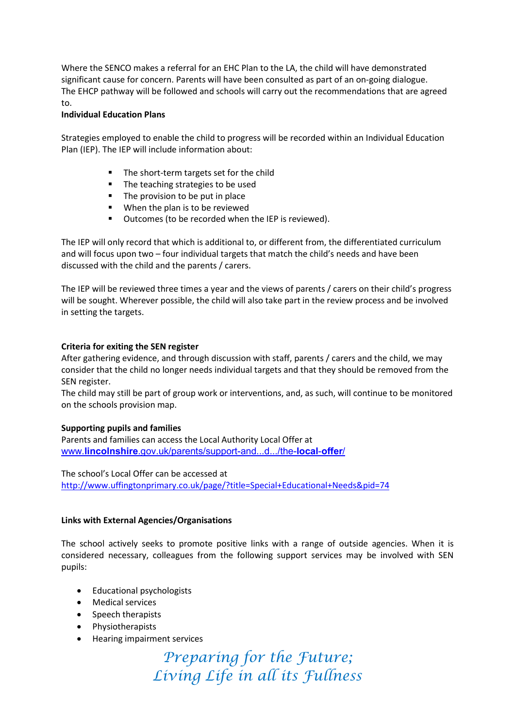Where the SENCO makes a referral for an EHC Plan to the LA, the child will have demonstrated significant cause for concern. Parents will have been consulted as part of an on-going dialogue. The EHCP pathway will be followed and schools will carry out the recommendations that are agreed to.

#### Individual Education Plans

Strategies employed to enable the child to progress will be recorded within an Individual Education Plan (IEP). The IEP will include information about:

- The short-term targets set for the child
- The teaching strategies to be used
- The provision to be put in place
- **When the plan is to be reviewed**
- **•** Outcomes (to be recorded when the IEP is reviewed).

The IEP will only record that which is additional to, or different from, the differentiated curriculum and will focus upon two – four individual targets that match the child's needs and have been discussed with the child and the parents / carers.

The IEP will be reviewed three times a year and the views of parents / carers on their child's progress will be sought. Wherever possible, the child will also take part in the review process and be involved in setting the targets.

#### Criteria for exiting the SEN register

After gathering evidence, and through discussion with staff, parents / carers and the child, we may consider that the child no longer needs individual targets and that they should be removed from the SEN register.

The child may still be part of group work or interventions, and, as such, will continue to be monitored on the schools provision map.

## Supporting pupils and families

Parents and families can access the Local Authority Local Offer at www.lincolnshire.gov.uk/parents/support-and...d.../the-local-offer/

The school's Local Offer can be accessed at http://www.uffingtonprimary.co.uk/page/?title=Special+Educational+Needs&pid=74

## Links with External Agencies/Organisations

The school actively seeks to promote positive links with a range of outside agencies. When it is considered necessary, colleagues from the following support services may be involved with SEN pupils:

- Educational psychologists
- Medical services
- Speech therapists
- Physiotherapists
- Hearing impairment services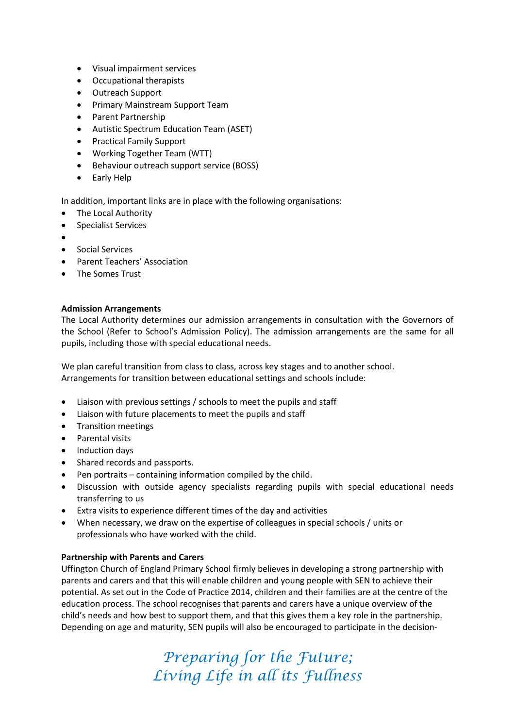- Visual impairment services
- Occupational therapists
- Outreach Support
- Primary Mainstream Support Team
- Parent Partnership
- Autistic Spectrum Education Team (ASET)
- Practical Family Support
- Working Together Team (WTT)
- Behaviour outreach support service (BOSS)
- Early Help

In addition, important links are in place with the following organisations:

- The Local Authority
- Specialist Services
- $\bullet$
- **•** Social Services
- Parent Teachers' Association
- The Somes Trust

#### Admission Arrangements

The Local Authority determines our admission arrangements in consultation with the Governors of the School (Refer to School's Admission Policy). The admission arrangements are the same for all pupils, including those with special educational needs.

We plan careful transition from class to class, across key stages and to another school. Arrangements for transition between educational settings and schools include:

- Liaison with previous settings / schools to meet the pupils and staff
- Liaison with future placements to meet the pupils and staff
- Transition meetings
- Parental visits
- Induction days
- Shared records and passports.
- Pen portraits containing information compiled by the child.
- Discussion with outside agency specialists regarding pupils with special educational needs transferring to us
- Extra visits to experience different times of the day and activities
- When necessary, we draw on the expertise of colleagues in special schools / units or professionals who have worked with the child.

#### Partnership with Parents and Carers

Uffington Church of England Primary School firmly believes in developing a strong partnership with parents and carers and that this will enable children and young people with SEN to achieve their potential. As set out in the Code of Practice 2014, children and their families are at the centre of the education process. The school recognises that parents and carers have a unique overview of the child's needs and how best to support them, and that this gives them a key role in the partnership. Depending on age and maturity, SEN pupils will also be encouraged to participate in the decision-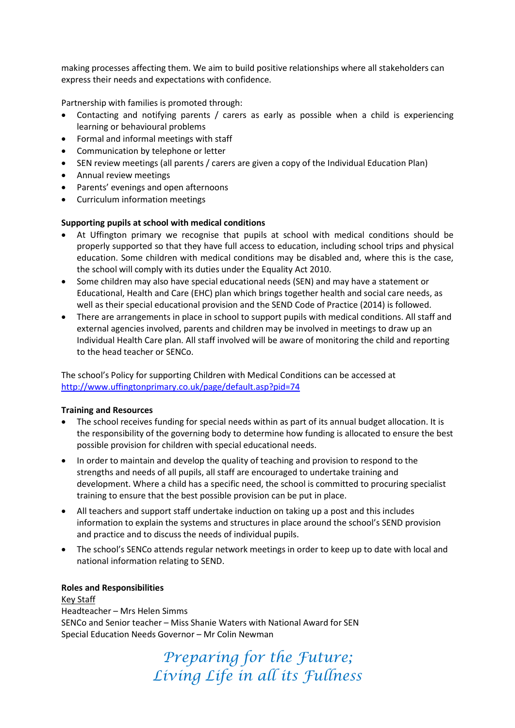making processes affecting them. We aim to build positive relationships where all stakeholders can express their needs and expectations with confidence.

Partnership with families is promoted through:

- Contacting and notifying parents / carers as early as possible when a child is experiencing learning or behavioural problems
- Formal and informal meetings with staff
- Communication by telephone or letter
- SEN review meetings (all parents / carers are given a copy of the Individual Education Plan)
- Annual review meetings
- Parents' evenings and open afternoons
- Curriculum information meetings

## Supporting pupils at school with medical conditions

- At Uffington primary we recognise that pupils at school with medical conditions should be properly supported so that they have full access to education, including school trips and physical education. Some children with medical conditions may be disabled and, where this is the case, the school will comply with its duties under the Equality Act 2010.
- Some children may also have special educational needs (SEN) and may have a statement or Educational, Health and Care (EHC) plan which brings together health and social care needs, as well as their special educational provision and the SEND Code of Practice (2014) is followed.
- There are arrangements in place in school to support pupils with medical conditions. All staff and external agencies involved, parents and children may be involved in meetings to draw up an Individual Health Care plan. All staff involved will be aware of monitoring the child and reporting to the head teacher or SENCo.

The school's Policy for supporting Children with Medical Conditions can be accessed at http://www.uffingtonprimary.co.uk/page/default.asp?pid=74

## Training and Resources

- The school receives funding for special needs within as part of its annual budget allocation. It is the responsibility of the governing body to determine how funding is allocated to ensure the best possible provision for children with special educational needs.
- In order to maintain and develop the quality of teaching and provision to respond to the strengths and needs of all pupils, all staff are encouraged to undertake training and development. Where a child has a specific need, the school is committed to procuring specialist training to ensure that the best possible provision can be put in place.
- All teachers and support staff undertake induction on taking up a post and this includes information to explain the systems and structures in place around the school's SEND provision and practice and to discuss the needs of individual pupils.
- The school's SENCo attends regular network meetings in order to keep up to date with local and national information relating to SEND.

#### Roles and Responsibilities

Key Staff Headteacher – Mrs Helen Simms SENCo and Senior teacher – Miss Shanie Waters with National Award for SEN Special Education Needs Governor – Mr Colin Newman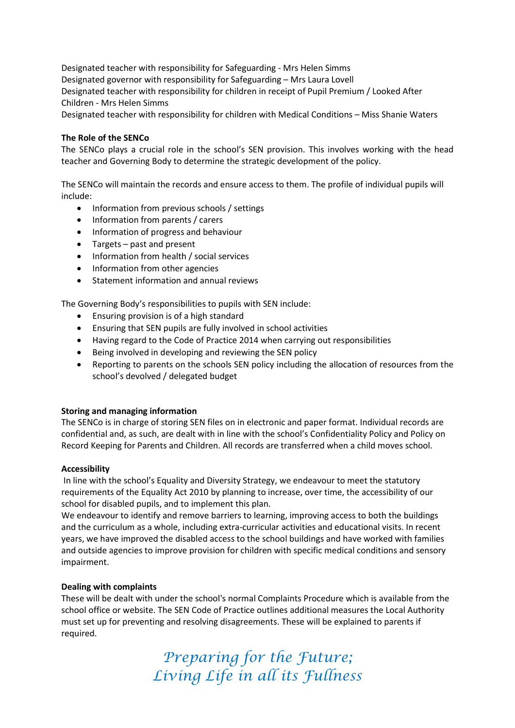Designated teacher with responsibility for Safeguarding - Mrs Helen Simms Designated governor with responsibility for Safeguarding – Mrs Laura Lovell Designated teacher with responsibility for children in receipt of Pupil Premium / Looked After Children - Mrs Helen Simms

Designated teacher with responsibility for children with Medical Conditions – Miss Shanie Waters

#### The Role of the SENCo

The SENCo plays a crucial role in the school's SEN provision. This involves working with the head teacher and Governing Body to determine the strategic development of the policy.

The SENCo will maintain the records and ensure access to them. The profile of individual pupils will include:

- Information from previous schools / settings
- Information from parents / carers
- Information of progress and behaviour
- Targets past and present
- Information from health / social services
- Information from other agencies
- Statement information and annual reviews

The Governing Body's responsibilities to pupils with SEN include:

- Ensuring provision is of a high standard
- Ensuring that SEN pupils are fully involved in school activities
- Having regard to the Code of Practice 2014 when carrying out responsibilities
- Being involved in developing and reviewing the SEN policy
- Reporting to parents on the schools SEN policy including the allocation of resources from the school's devolved / delegated budget

#### Storing and managing information

The SENCo is in charge of storing SEN files on in electronic and paper format. Individual records are confidential and, as such, are dealt with in line with the school's Confidentiality Policy and Policy on Record Keeping for Parents and Children. All records are transferred when a child moves school.

#### Accessibility

In line with the school's Equality and Diversity Strategy, we endeavour to meet the statutory requirements of the Equality Act 2010 by planning to increase, over time, the accessibility of our school for disabled pupils, and to implement this plan.

We endeavour to identify and remove barriers to learning, improving access to both the buildings and the curriculum as a whole, including extra-curricular activities and educational visits. In recent years, we have improved the disabled access to the school buildings and have worked with families and outside agencies to improve provision for children with specific medical conditions and sensory impairment.

#### Dealing with complaints

These will be dealt with under the school's normal Complaints Procedure which is available from the school office or website. The SEN Code of Practice outlines additional measures the Local Authority must set up for preventing and resolving disagreements. These will be explained to parents if required.